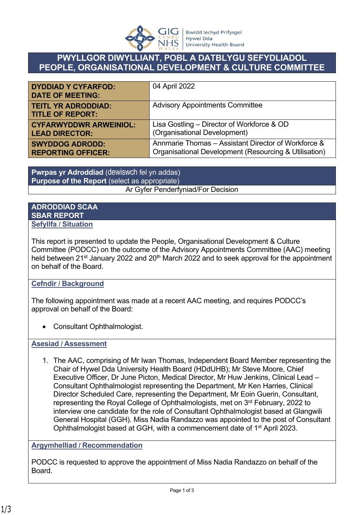

## **PWYLLGOR DIWYLLIANT, POBL A DATBLYGU SEFYDLIADOL PEOPLE, ORGANISATIONAL DEVELOPMENT & CULTURE COMMITTEE**

| <b>DYDDIAD Y CYFARFOD:</b><br><b>DATE OF MEETING:</b> | 04 April 2022                                         |
|-------------------------------------------------------|-------------------------------------------------------|
| <b>TEITL YR ADRODDIAD:</b><br><b>TITLE OF REPORT:</b> | <b>Advisory Appointments Committee</b>                |
| <b>CYFARWYDDWR ARWEINIOL:</b>                         | Lisa Gostling - Director of Workforce & OD            |
| <b>LEAD DIRECTOR:</b>                                 | (Organisational Development)                          |
| <b>SWYDDOG ADRODD:</b>                                | Annmarie Thomas – Assistant Director of Workforce &   |
| <b>REPORTING OFFICER:</b>                             | Organisational Development (Resourcing & Utilisation) |

**Pwrpas yr Adroddiad** (dewiswch fel yn addas) **Purpose of the Report** (select as appropriate) Ar Gyfer Penderfyniad/For Decision

## **ADRODDIAD SCAA SBAR REPORT Sefyllfa / Situation**

This report is presented to update the People, Organisational Development & Culture Committee (PODCC) on the outcome of the Advisory Appointments Committee (AAC) meeting held between 21<sup>st</sup> January 2022 and 20<sup>th</sup> March 2022 and to seek approval for the appointment on behalf of the Board.

## **Cefndir / Background**

The following appointment was made at a recent AAC meeting, and requires PODCC's approval on behalf of the Board:

Consultant Ophthalmologist.

**Asesiad / Assessment**

1. The AAC, comprising of Mr Iwan Thomas, Independent Board Member representing the Chair of Hywel Dda University Health Board (HDdUHB); Mr Steve Moore, Chief Executive Officer, Dr June Picton, Medical Director, Mr Huw Jenkins, Clinical Lead – Consultant Ophthalmologist representing the Department, Mr Ken Harries, Clinical Director Scheduled Care, representing the Department, Mr Eoin Guerin, Consultant, representing the Royal College of Ophthalmologists, met on 3rd February, 2022 to interview one candidate for the role of Consultant Ophthalmologist based at Glangwili General Hospital (GGH). Miss Nadia Randazzo was appointed to the post of Consultant Ophthalmologist based at GGH, with a commencement date of 1st April 2023.

## **Argymhelliad / Recommendation**

PODCC is requested to approve the appointment of Miss Nadia Randazzo on behalf of the Board.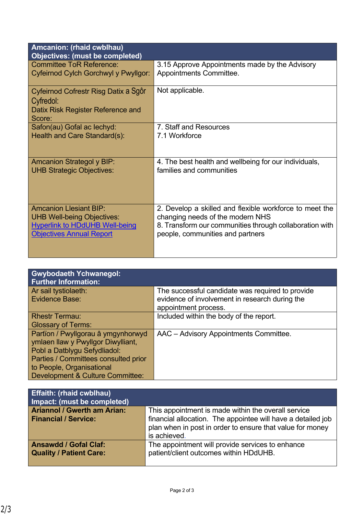| Amcanion: (rhaid cwblhau)<br><b>Objectives: (must be completed)</b>                              |                                                         |
|--------------------------------------------------------------------------------------------------|---------------------------------------------------------|
| <b>Committee ToR Reference:</b>                                                                  | 3.15 Approve Appointments made by the Advisory          |
| Cyfeirnod Cylch Gorchwyl y Pwyllgor:                                                             | Appointments Committee.                                 |
| Cyfeirnod Cofrestr Risg Datix a Sgôr<br>Cyfredol:<br>Datix Risk Register Reference and<br>Score: | Not applicable.                                         |
| Safon(au) Gofal ac lechyd:                                                                       | 7. Staff and Resources                                  |
| Health and Care Standard(s):                                                                     | 7.1 Workforce                                           |
| <b>Amcanion Strategol y BIP:</b>                                                                 | 4. The best health and wellbeing for our individuals,   |
| <b>UHB Strategic Objectives:</b>                                                                 | families and communities                                |
| <b>Amcanion Llesiant BIP:</b>                                                                    | 2. Develop a skilled and flexible workforce to meet the |
| <b>UHB Well-being Objectives:</b>                                                                | changing needs of the modern NHS                        |
| <b>Hyperlink to HDdUHB Well-being</b>                                                            | 8. Transform our communities through collaboration with |
| <b>Objectives Annual Report</b>                                                                  | people, communities and partners                        |

| <b>Gwybodaeth Ychwanegol:</b><br><b>Further Information:</b> |                                                  |
|--------------------------------------------------------------|--------------------------------------------------|
| Ar sail tystiolaeth:                                         | The successful candidate was required to provide |
| Evidence Base:                                               | evidence of involvement in research during the   |
|                                                              | appointment process.                             |
| <b>Rhestr Termau:</b>                                        | Included within the body of the report.          |
| <b>Glossary of Terms:</b>                                    |                                                  |
| Partïon / Pwyllgorau â ymgynhorwyd                           | AAC - Advisory Appointments Committee.           |
| ymlaen llaw y Pwyllgor Diwylliant,                           |                                                  |
| Pobl a Datblygu Sefydliadol:                                 |                                                  |
| Parties / Committees consulted prior                         |                                                  |
| to People, Organisational                                    |                                                  |
| <b>Development &amp; Culture Committee:</b>                  |                                                  |

| <b>Effaith: (rhaid cwblhau)</b><br>Impact: (must be completed)    |                                                                                                                                                                                  |
|-------------------------------------------------------------------|----------------------------------------------------------------------------------------------------------------------------------------------------------------------------------|
| <b>Ariannol / Gwerth am Arian:</b><br><b>Financial / Service:</b> | This appointment is made within the overall service<br>financial allocation. The appointee will have a detailed job<br>plan when in post in order to ensure that value for money |
|                                                                   | is achieved.                                                                                                                                                                     |
| <b>Ansawdd / Gofal Claf:</b>                                      | The appointment will provide services to enhance                                                                                                                                 |
| <b>Quality / Patient Care:</b>                                    | patient/client outcomes within HDdUHB.                                                                                                                                           |